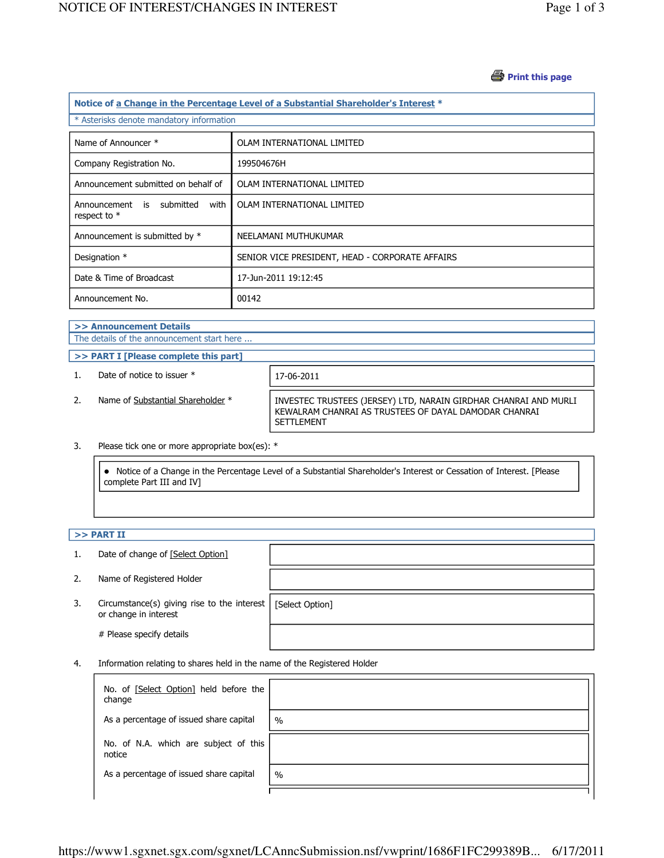### *S* Print this page

| Notice of a Change in the Percentage Level of a Substantial Shareholder's Interest * |                                                 |  |  |
|--------------------------------------------------------------------------------------|-------------------------------------------------|--|--|
| * Asterisks denote mandatory information                                             |                                                 |  |  |
| Name of Announcer *                                                                  | OLAM INTERNATIONAL LIMITED                      |  |  |
| Company Registration No.                                                             | 199504676H                                      |  |  |
| Announcement submitted on behalf of                                                  | OLAM INTERNATIONAL LIMITED                      |  |  |
| Announcement is submitted<br>with<br>respect to *                                    | OLAM INTERNATIONAL LIMITED                      |  |  |
| Announcement is submitted by *                                                       | NEELAMANI MUTHUKUMAR                            |  |  |
| Designation *                                                                        | SENIOR VICE PRESIDENT, HEAD - CORPORATE AFFAIRS |  |  |
| Date & Time of Broadcast                                                             | 17-Jun-2011 19:12:45                            |  |  |
| Announcement No.                                                                     | 00142                                           |  |  |

#### >> Announcement Details The details of the announcement start here ...

- >> PART I [Please complete this part]
- 1. Date of notice to issuer  $*$  17-06-2011
- 

2. Name of Substantial Shareholder \* INVESTEC TRUSTEES (JERSEY) LTD, NARAIN GIRDHAR CHANRAI AND MURLI KEWALRAM CHANRAI AS TRUSTEES OF DAYAL DAMODAR CHANRAI SETTLEMENT

#### 3. Please tick one or more appropriate box(es): \*

 Notice of a Change in the Percentage Level of a Substantial Shareholder's Interest or Cessation of Interest. [Please complete Part III and IV]

## $>>$  PART II

| 1. | Date of change of [Select Option]                                    |                 |
|----|----------------------------------------------------------------------|-----------------|
| 2. | Name of Registered Holder                                            |                 |
| 3. | Circumstance(s) giving rise to the interest<br>or change in interest | [Select Option] |
|    | # Please specify details                                             |                 |

4. Information relating to shares held in the name of the Registered Holder

| No. of [Select Option] held before the<br>change |      |
|--------------------------------------------------|------|
| As a percentage of issued share capital          | $\%$ |
| No. of N.A. which are subject of this<br>notice  |      |
| As a percentage of issued share capital          | $\%$ |
|                                                  |      |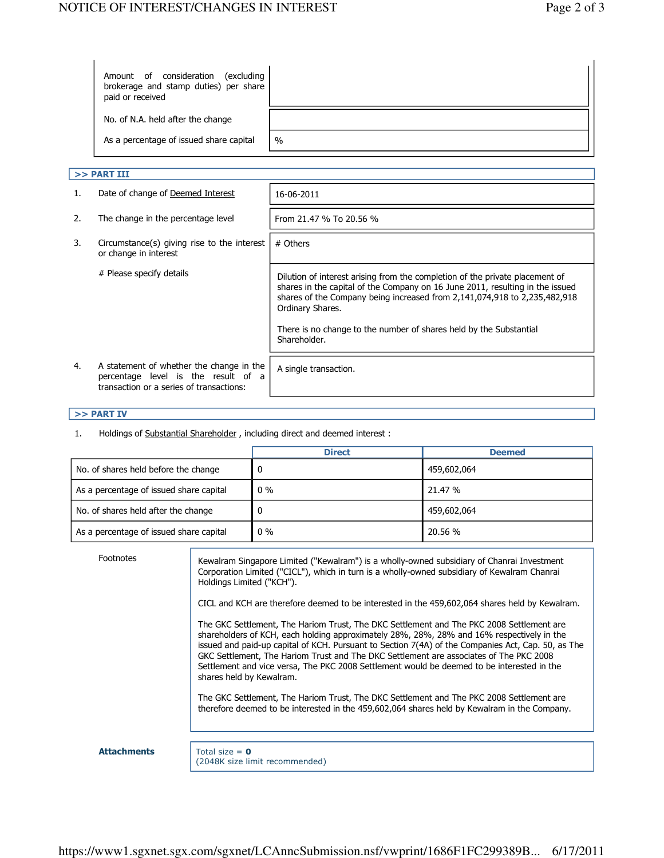| Amount of consideration<br>excluding)<br>brokerage and stamp duties) per share<br>paid or received |      |
|----------------------------------------------------------------------------------------------------|------|
| No. of N.A. held after the change                                                                  |      |
| As a percentage of issued share capital                                                            | $\%$ |

## $>>$  PART III

| 1. | Date of change of Deemed Interest                                                                                           | 16-06-2011                                                                                                                                                                                                                                                     |
|----|-----------------------------------------------------------------------------------------------------------------------------|----------------------------------------------------------------------------------------------------------------------------------------------------------------------------------------------------------------------------------------------------------------|
| 2. | The change in the percentage level                                                                                          | From 21.47 % To 20.56 %                                                                                                                                                                                                                                        |
| 3. | Circumstance(s) giving rise to the interest<br>or change in interest                                                        | # Others                                                                                                                                                                                                                                                       |
|    | # Please specify details                                                                                                    | Dilution of interest arising from the completion of the private placement of<br>shares in the capital of the Company on 16 June 2011, resulting in the issued<br>shares of the Company being increased from 2,141,074,918 to 2,235,482,918<br>Ordinary Shares. |
|    |                                                                                                                             | There is no change to the number of shares held by the Substantial<br>Shareholder.                                                                                                                                                                             |
| 4. | A statement of whether the change in the<br>percentage level is the result of a<br>transaction or a series of transactions: | A single transaction.                                                                                                                                                                                                                                          |

# >> PART IV

1. Holdings of Substantial Shareholder, including direct and deemed interest :

|                                         | <b>Direct</b> | <b>Deemed</b> |
|-----------------------------------------|---------------|---------------|
| No. of shares held before the change    |               | 459,602,064   |
| As a percentage of issued share capital | $0\%$         | 21.47 %       |
| No. of shares held after the change     |               | 459,602,064   |
| As a percentage of issued share capital | $0\%$         | 20.56 %       |

| Footnotes          | Kewalram Singapore Limited ("Kewalram") is a wholly-owned subsidiary of Chanrai Investment<br>Corporation Limited ("CICL"), which in turn is a wholly-owned subsidiary of Kewalram Chanrai<br>Holdings Limited ("KCH").                                                                                                                                                                                                                                                                                         |
|--------------------|-----------------------------------------------------------------------------------------------------------------------------------------------------------------------------------------------------------------------------------------------------------------------------------------------------------------------------------------------------------------------------------------------------------------------------------------------------------------------------------------------------------------|
|                    | CICL and KCH are therefore deemed to be interested in the 459,602,064 shares held by Kewalram.                                                                                                                                                                                                                                                                                                                                                                                                                  |
|                    | The GKC Settlement, The Hariom Trust, The DKC Settlement and The PKC 2008 Settlement are<br>shareholders of KCH, each holding approximately 28%, 28%, 28% and 16% respectively in the<br>issued and paid-up capital of KCH. Pursuant to Section 7(4A) of the Companies Act, Cap. 50, as The<br>GKC Settlement, The Hariom Trust and The DKC Settlement are associates of The PKC 2008<br>Settlement and vice versa, The PKC 2008 Settlement would be deemed to be interested in the<br>shares held by Kewalram. |
|                    | The GKC Settlement, The Hariom Trust, The DKC Settlement and The PKC 2008 Settlement are<br>therefore deemed to be interested in the 459,602,064 shares held by Kewalram in the Company.                                                                                                                                                                                                                                                                                                                        |
|                    |                                                                                                                                                                                                                                                                                                                                                                                                                                                                                                                 |
| <b>Attachments</b> | Total size = $\theta$<br>(2048K size limit recommended)                                                                                                                                                                                                                                                                                                                                                                                                                                                         |